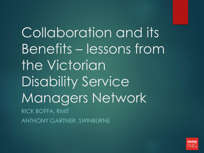Collaboration and its Benefits – lessons from the Victorian Disability Service Managers Network RICK BOFFA, RMIT ANTHONY GARTNER, SWINBURNE

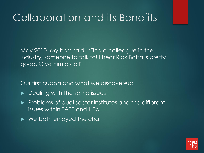May 2010. My boss said: "Find a colleague in the industry, someone to talk to! I hear Rick Boffa is pretty good. Give him a call"

Our first cuppa and what we discovered:

- **Dealing with the same issues**
- $\blacktriangleright$  Problems of dual sector institutes and the different issues within TAFE and HEd
- ▶ We both enjoyed the chat

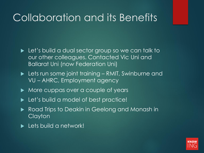- **Let's build a dual sector group so we can talk to** our other colleagues. Contacted Vic Uni and Ballarat Uni (now Federation Uni)
- ► Lets run some joint training RMIT, Swinburne and VU – AHRC, Employment agency
- More cuppas over a couple of years
- ▶ Let's build a model of best practice!
- Road Trips to Deakin in Geelong and Monash in Clayton
- **Lets build a network!**

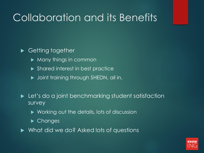### ▶ Getting together

- $\blacktriangleright$  Many things in common
- **Shared interest in best practice**
- $\blacktriangleright$  Joint training through SHEDN, all in.
- **Let's do a joint benchmarking student satisfaction** survey
	- ▶ Working out the details, lots of discussion
	- ▶ Changes
- ▶ What did we do? Asked lots of questions

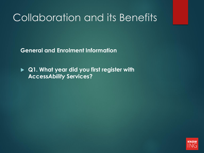**General and Enrolment Information**

 **Q1. What year did you first register with Access***Ability* **Services?** 

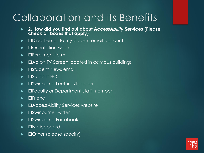- **2. How did you find out about Access***Ability* **Services (Please check all boxes that apply)**
- ▶ □Direct email to my student email account
- ▶ □Orientation week
- ▶ □Enrolment form
- ►  $\Box$  Ad on TV Screen located in campus buildings
- ▶ □Student News email
- ► □Student HQ
- ▶ □Swinburne Lecturer/Teacher
- ► □Faculty or Department staff member
- $\blacktriangleright$   $\square$ Friend
- ▶ □AccessAbility Services website
- ▶ □Swinburne Twitter
- ▶ □Swinburne Facebook
- ▶ □Noticeboard
- $\Box$  Other (please specify)  $\Box$

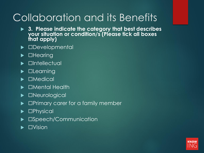- **3. Please indicate the category that best describes your situation or condition/s (Please tick all boxes that apply)**
- ▶ **□Developmental**
- ▶ **□Hearing**
- □Intellectual
- $\blacktriangleright$   $\square$ Learning
- ☐Medical
- ☐Mental Health
- ▶ □Neurological
- ▶ □Primary carer for a family member
- ▶ **□Physical**
- ▶ □Speech/Communication
- ☐Vision

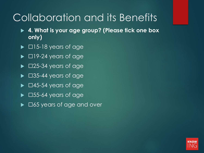- **4. What is your age group? (Please tick one box only)**
- $\blacktriangleright$   $\Box$ 15-18 years of age
- $\blacktriangleright$   $\Box$ 19-24 years of age
- $\blacktriangleright$   $\Box$ 25-34 years of age
- $\blacktriangleright$   $\Box$ 35-44 years of age
- $\blacktriangleright$   $\Box$ 45-54 years of age
- $\blacktriangleright$   $\Box$ 55-64 years of age
- ► □65 years of age and over

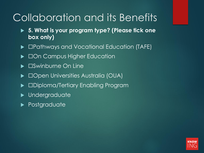- **5. What is your program type? (Please tick one box only)**
- ▶ □Pathways and Vocational Education (TAFE)
- ▶ □On Campus Higher Education
- ▶ □Swinburne On Line
- ▶ □Open Universities Australia (OUA)
- ▶ □Diploma/Tertiary Enabling Program
- **Dimensional**
- **Postgraduate**

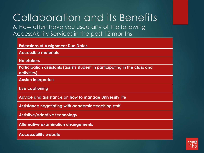6. How often have you used any of the following AccessAbility Services in the past 12 months

| <b>Extensions of Assignment Due Dates</b>                                                  |
|--------------------------------------------------------------------------------------------|
| <b>Accessible materials</b>                                                                |
| <b>Notetakers</b>                                                                          |
| Participation assistants (assists student in participating in the class and<br>activities) |
| <b>Auslan interpreters</b>                                                                 |
| Live captioning                                                                            |
| Advice and assistance on how to manage University life                                     |
| Assistance negotiating with academic/teaching staff                                        |
| <b>Assistive/adaptive technology</b>                                                       |
| <b>Alternative examination arrangements</b>                                                |
| <b>Accessability website</b>                                                               |

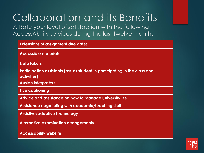7. Rate your level of satisfaction with the following AccessAbility services during the last twelve months

| <b>Extensions of assignment due dates</b>                                                  |
|--------------------------------------------------------------------------------------------|
| <b>Accessible materials</b>                                                                |
| <b>Note takers</b>                                                                         |
| Participation assistants (assists student in participating in the class and<br>activities) |
| <b>Auslan interpreters</b>                                                                 |
| Live captioning                                                                            |
| Advice and assistance on how to manage University life                                     |
| Assistance negotiating with academic/teaching staff                                        |
| <b>Assistive/adaptive technology</b>                                                       |
| <b>Alternative examination arrangements</b>                                                |
| <b>Accessability website</b>                                                               |

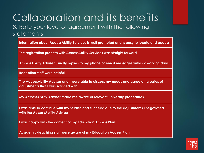### Collaboration and its benefits 8. Rate your level of agreement with the following statements

**Information about AccessAbility Services is well promoted and is easy to locate and access**

**The registration process with AccessAbility Services was straight forward** 

**AccessAbility Adviser usually replies to my phone or email messages within 2 working days**

**Reception staff were helpful**

**The AccessAbility Adviser and I were able to discuss my needs and agree on a series of adjustments that I was satisfied with**

**My AccessAbility Adviser made me aware of relevant University procedures**

**I was able to continue with my studies and succeed due to the adjustments I negotiated with the AccessAbility Adviser**

**I was happy with the content of my Education Access Plan**

**Academic/teaching staff were aware of my Education Access Plan** 

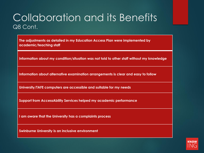### Collaboration and its Benefits Q8 Cont.

**The adjustments as detailed in my Education Access Plan were implemented by academic/teaching staff**

**Information about my condition/situation was not told to other staff without my knowledge**

**Information about alternative examination arrangements is clear and easy to follow**

**University/TAFE computers are accessible and suitable for my needs**

**Support from AccessAbility Services helped my academic performance**

**I am aware that the University has a complaints process**

**Swinburne University is an inclusive environment** 

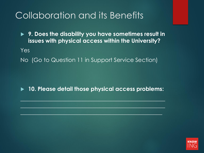**9. Does the disability you have sometimes result in issues with physical access within the University?**

Yes

No (Go to Question 11 in Support Service Section)

**10. Please detail those physical access problems:**

**\_\_\_\_\_\_\_\_\_\_\_\_\_\_\_\_\_\_\_\_\_\_\_\_\_\_\_\_\_\_\_\_\_\_\_\_\_\_\_\_\_\_\_\_\_\_\_\_\_\_\_**

**\_\_\_\_\_\_\_\_\_\_\_\_\_\_\_\_\_\_\_\_\_\_\_\_\_\_\_\_\_\_\_\_\_\_\_\_\_\_\_\_\_\_\_\_**\_\_\_\_\_\_\_

 $\mathcal{L}^{\mathcal{L}}$  , the definition of  $\mathcal{L}^{\mathcal{L}}$  ,  $\mathcal{L}^{\mathcal{L}}$  ,  $\mathcal{L}^{\mathcal{L}}$  ,  $\mathcal{L}^{\mathcal{L}}$  ,  $\mathcal{L}^{\mathcal{L}}$  ,  $\mathcal{L}^{\mathcal{L}}$  ,  $\mathcal{L}^{\mathcal{L}}$  ,  $\mathcal{L}^{\mathcal{L}}$  ,  $\mathcal{L}^{\mathcal{L}}$  ,  $\mathcal{L}^{\mathcal{L}}$  ,  $\mathcal{$ 

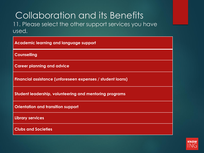### Collaboration and its Benefits 11. Please select the other support services you have used.

| <b>Academic learning and language support</b>              |
|------------------------------------------------------------|
| <b>Counselling</b>                                         |
| <b>Career planning and advice</b>                          |
| Financial assistance (unforeseen expenses / student loans) |
| Student leadership, volunteering and mentoring programs    |
| <b>Orientation and transition support</b>                  |
| <b>Library services</b>                                    |
| <b>Clubs and Societies</b>                                 |

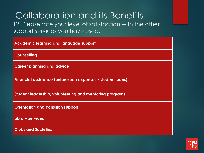12. Please rate your level of satisfaction with the other support services you have used.

| <b>Academic learning and language support</b>              |
|------------------------------------------------------------|
| <b>Counselling</b>                                         |
| <b>Career planning and advice</b>                          |
| Financial assistance (unforeseen expenses / student loans) |
| Student leadership, volunteering and mentoring programs    |
| <b>Orientation and transition support</b>                  |
| <b>Library services</b>                                    |
| <b>Clubs and Societies</b>                                 |

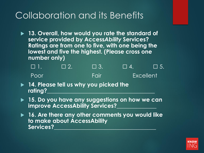**13. Overall, how would you rate the standard of service provided by Access***Ability* **Services? Ratings are from one to five, with one being the lowest and five the highest. (Please cross one number only)**

| VENIA | $\Box$ 2. | $\sqrt{ }$ 3. | <b>TELES</b> | $\Box$ 5.        |  |
|-------|-----------|---------------|--------------|------------------|--|
| Poor  |           | <b>IFair</b>  |              | <b>Excellent</b> |  |

- **14. Please tell us why you picked the**  rating?
- **15. Do you have any suggestions on how we can improve AccessAbility Services?\_\_\_\_\_\_\_\_\_\_\_\_\_\_**
- **16. Are there any other comments you would like to make about AccessAbility**  Services?

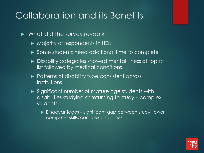- ▶ What did the survey reveal?
	- Majority of respondents in HEd
	- ▶ Some students need additional time to complete
	- ▶ Disability categories showed mental illness at top of list followed by medical conditions.
	- **Patterns of disability type consistent across** institutions
	- Significant number of mature age students with disabilities studying or returning to study – complex students
		- ▶ Disadvantages significant gap between study, lower computer skills, complex disabilities

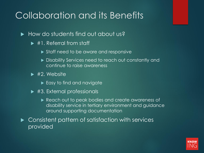- $\blacktriangleright$  How do students find out about us?
	- ▶ #1. Referral from staff
		- Staff need to be aware and responsive
		- **Disability Services need to reach out constantly and** continue to raise awareness
	- $\blacktriangleright$  #2. Website
		- $\blacktriangleright$  Easy to find and navigate
	- ▶ #3. External professionals
		- Reach out to peak bodies and create awareness of disability service in tertiary environment and guidance around supporting documentation

▶ Consistent pattern of satisfaction with services provided

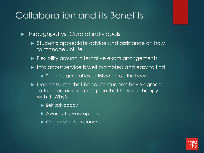**Throughput vs. Care of individuals** 

- **Students appreciate advice and assistance on how** to manage Uni life
- **Filexibility around alternative exam arrangements**
- Info about service is well promoted and easy to find
	- Students general less satisfied across the board
- ▶ Don't assume that because students have agreed to their learning access plan that they are happy with it! Why?
	- Self advocacy
	- ▶ Aware of review options
	- **Changed circumstances**

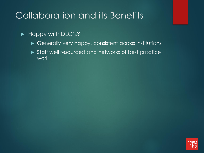#### Happy with DLO's?

- Generally very happy, consistent across institutions.
- Staff well resourced and networks of best practice work

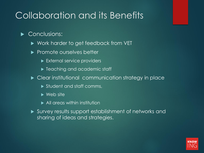### Conclusions:

- ► Work harder to get feedback from VET
- $\blacktriangleright$  Promote ourselves better
	- External service providers
	- ▶ Teaching and academic staff
- ▶ Clear institutional communication strategy in place
	- Student and staff comms,
	- $\blacktriangleright$  Web site
	- All areas within institution
- Survey results support establishment of networks and sharing of ideas and strategies.